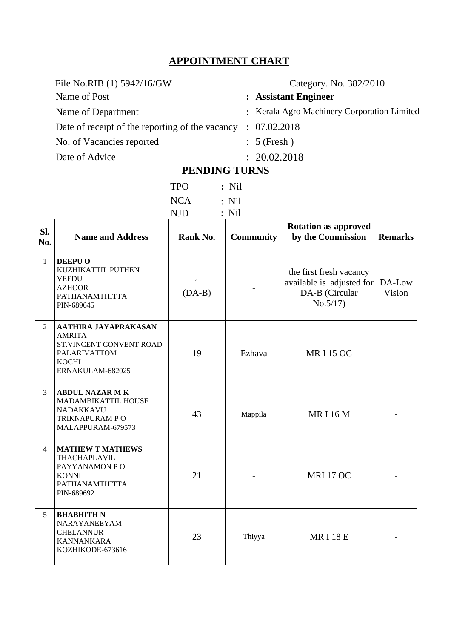### **APPOINTMENT CHART**

**Category. No. 382/2010** 

# Name of Post **: Assistant Engineer**

Name of Department : Kerala Agro Machinery Corporation Limited

Date of receipt of the reporting of the vacancy : 07.02.2018

No. of Vacancies reported : 5 (Fresh)

Date of Advice

| 20.02.2018 |  |
|------------|--|

# **PENDING TURNS**

| <b>TPO</b> | $:$ Nil |
|------------|---------|
| <b>NCA</b> | $:$ Nil |
| <b>NJD</b> | $:$ Nil |

| SI.<br>No.   | <b>Name and Address</b>                                                                                                     | Rank No.                 | <b>Community</b> | <b>Rotation as approved</b><br>by the Commission                                   | <b>Remarks</b>   |
|--------------|-----------------------------------------------------------------------------------------------------------------------------|--------------------------|------------------|------------------------------------------------------------------------------------|------------------|
| $\mathbf{1}$ | <b>DEEPU O</b><br>KUZHIKATTIL PUTHEN<br><b>VEEDU</b><br><b>AZHOOR</b><br>PATHANAMTHITTA<br>PIN-689645                       | $\mathbf{1}$<br>$(DA-B)$ |                  | the first fresh vacancy<br>available is adjusted for<br>DA-B (Circular<br>No.5/17) | DA-Low<br>Vision |
| 2            | <b>AATHIRA JAYAPRAKASAN</b><br><b>AMRITA</b><br>ST.VINCENT CONVENT ROAD<br>PALARIVATTOM<br><b>KOCHI</b><br>ERNAKULAM-682025 | 19                       | Ezhava           | <b>MRI15 OC</b>                                                                    |                  |
| 3            | <b>ABDUL NAZAR MK</b><br>MADAMBIKATTIL HOUSE<br><b>NADAKKAVU</b><br>TRIKNAPURAM PO<br>MALAPPURAM-679573                     | 43                       | Mappila          | <b>MRI16M</b>                                                                      |                  |
| 4            | <b>MATHEW T MATHEWS</b><br>THACHAPLAVIL<br>PAYYANAMON PO<br><b>KONNI</b><br>PATHANAMTHITTA<br>PIN-689692                    | 21                       |                  | <b>MRI 17 OC</b>                                                                   |                  |
| 5            | <b>BHABHITH N</b><br>NARAYANEEYAM<br><b>CHELANNUR</b><br><b>KANNANKARA</b><br>KOZHIKODE-673616                              | 23                       | Thiyya           | <b>MRI18E</b>                                                                      |                  |